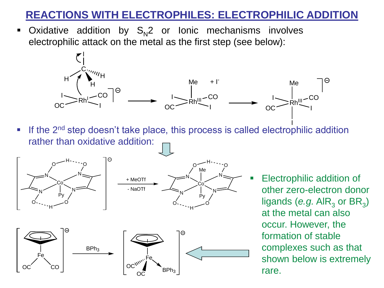• Oxidative addition by S<sub>N</sub>2 or Ionic mechanisms involves electrophilic attack on the metal as the first step (see below):



I **If the 2<sup>nd</sup> step doesn't take place, this process is called electrophilic addition** rather than oxidative addition:







**Electrophilic addition of** other zero-electron donor ligands (*e.g.* AIR<sub>3</sub> or BR<sub>3</sub>) at the metal can also occur. However, the formation of stable complexes such as that shown below is extremely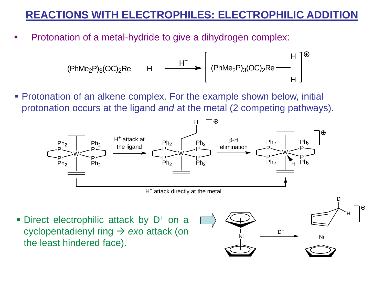Protonation of a metal-hydride to give a dihydrogen complex:

$$
(\text{PhMe}_2\text{P})_3(\text{OC})_2\text{Re}\longrightarrow H \longrightarrow \left[\begin{array}{c} \text{PhMe}_2\text{P})_3(\text{OC})_2\text{Re}\longrightarrow \text{H} \\ \text{PhMe}_2\text{P})_3(\text{OC})_2\text{Re}\longrightarrow \text{H} \end{array}\right]^{\oplus}
$$

**• Protonation of an alkene complex. For the example shown below, initial** protonation occurs at the ligand *and* at the metal (2 competing pathways).

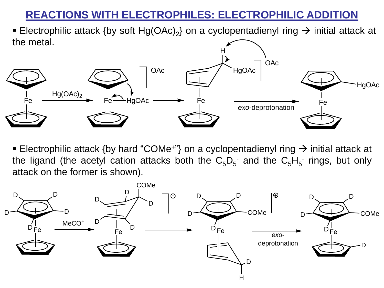■ Electrophilic attack {by soft Hg(OAc)<sub>2</sub>} on a cyclopentadienyl ring  $\rightarrow$  initial attack at the metal.



■ Electrophilic attack {by hard "COMe+"} on a cyclopentadienyl ring  $\rightarrow$  initial attack at the ligand (the acetyl cation attacks both the  $C_5D_5$  and the  $C_5H_5$  rings, but only attack on the former is shown).

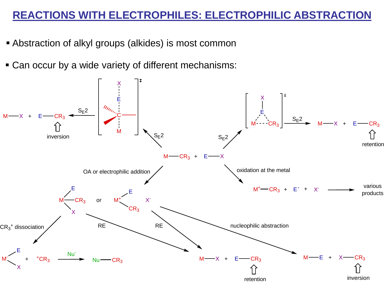- **EXECT** Abstraction of alkyl groups (alkides) is most common
- Can occur by a wide variety of different mechanisms:

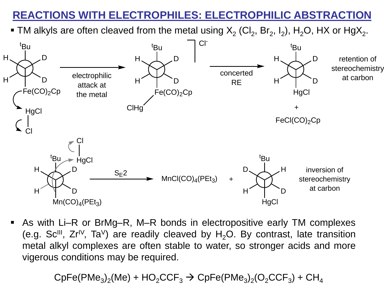■ TM alkyls are often cleaved from the metal using  $\mathsf{X}_2$  (Cl<sub>2</sub>, Br<sub>2</sub>, I<sub>2</sub>), H<sub>2</sub>O, HX or HgX<sub>2</sub>.



As with Li–R or BrMg–R, M–R bonds in electropositive early TM complexes (e.g. Sc<sup>III</sup>, Zr<sup>IV</sup>, Ta<sup>V</sup>) are readily cleaved by  $H_2O$ . By contrast, late transition metal alkyl complexes are often stable to water, so stronger acids and more vigerous conditions may be required.

 $\mathsf{CpFe}(\mathsf{PMe}_3)_2(\mathsf{Me}) + \mathsf{HO}_2\mathsf{CCF}_3 \rightarrow \mathsf{CpFe}(\mathsf{PMe}_3)_2(\mathsf{O}_2\mathsf{CCF}_3) + \mathsf{CH}_4$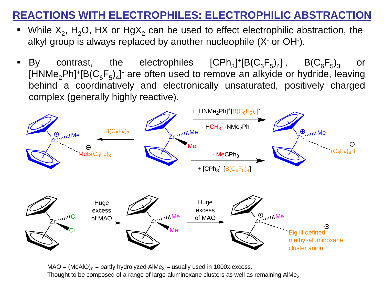- While  $X_2$ , H<sub>2</sub>O, HX or HgX<sub>2</sub> can be used to effect electrophilic abstraction, the alkyl group is always replaced by another nucleophile (X- or OH- ).
- By contrast, the electrophiles ]<sup>+</sup>[B(C<sub>6</sub>F<sub>5</sub>)<sub>4</sub>]<sup>-</sup>, B(C<sub>6</sub>F<sub>5</sub>)<sub>3</sub> or [HNMe<sub>2</sub>Ph]+[B(C<sub>6</sub>F<sub>5</sub>)<sub>4</sub>] are often used to remove an alkyide or hydride, leaving behind a coordinatively and electronically unsaturated, positively charged complex (generally highly reactive).



 $MAO = (MeAlO)<sub>n</sub> =$  partly hydrolyzed AlMe<sub>3</sub> = usually used in 1000x excess. Thought to be composed of a range of large aluminoxane clusters as well as remaining AlMe<sub>3</sub>.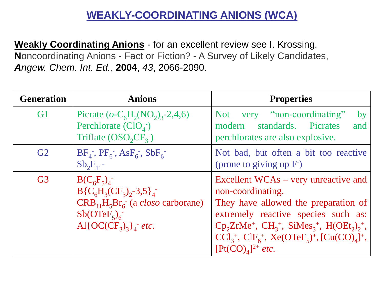# **WEAKLY-COORDINATING ANIONS (WCA)**

**Weakly Coordinating Anions** - for an excellent review see I. Krossing, **N**oncoordinating Anions - Fact or Fiction? - A Survey of Likely Candidates, *Angew. Chem. Int. Ed.*, **2004**, *43*, 2066-2090.

| <b>Generation</b> | <b>Anions</b>                                                                                                                                                 | <b>Properties</b>                                                                                                                                                                                                                                                                                                             |
|-------------------|---------------------------------------------------------------------------------------------------------------------------------------------------------------|-------------------------------------------------------------------------------------------------------------------------------------------------------------------------------------------------------------------------------------------------------------------------------------------------------------------------------|
| G <sub>1</sub>    | Picrate $(o-C_6H_2(NO_2)_3-2,4,6)$<br>Perchlorate $\left(\text{ClO}_4\right)$<br>Triflate $OSO_2CF_3^-$                                                       | Not very "non-coordinating"<br>by<br>standards. Picrates<br>modern<br>and<br>perchlorates are also explosive.                                                                                                                                                                                                                 |
| G2                | $BF_4$ , $PF_6$ , $AsF_6$ , $SbF_6$<br>$Sb_2F_{11}$ -                                                                                                         | Not bad, but often a bit too reactive<br>(prone to giving up $F1$ )                                                                                                                                                                                                                                                           |
| G <sub>3</sub>    | $B(C_6F_5)_4^-$<br>$B{C6H3(CF3)2 -3.5}_{4}$<br>$CRB_{11}H_5Br_6^-$ (a <i>closo</i> carborane)<br>$Sb(OTeF_5)_{6}^{-}$<br>Al{ $OC(CF_3)_3$ } <sup>-</sup> etc. | Excellent WCAs – very unreactive and<br>non-coordinating.<br>They have allowed the preparation of<br>extremely reactive species such as:<br>$\text{Cp}_2\text{ZrMe}^+$ , $\text{CH}_3^+$ , $\text{SiMes}_3^+$ , $\text{H(OEt}_2)_2^+$ ,<br>$CCl_3^+$ , $ClF_6^+$ , $Xe(OTeF_5)^+$ , $[Cu(CO)_4]^+$ ,<br>$[Pt(CO)A]^{2+}$ etc. |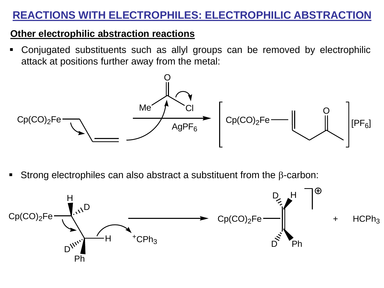#### **Other electrophilic abstraction reactions**

▪ Conjugated substituents such as allyl groups can be removed by electrophilic attack at positions further away from the metal:



Strong electrophiles can also abstract a substituent from the  $\beta$ -carbon: